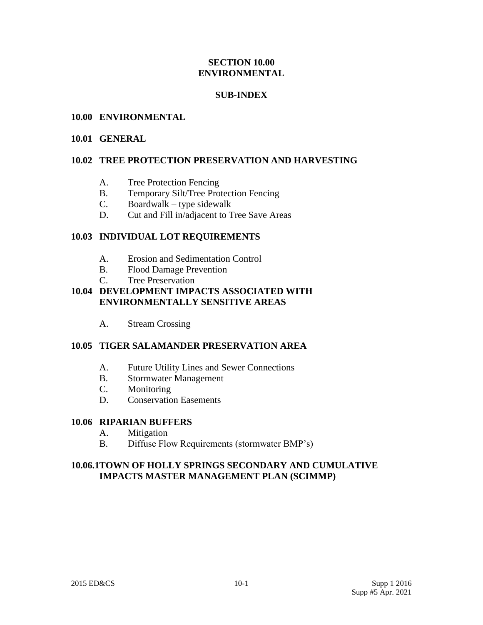### **SECTION 10.00 ENVIRONMENTAL**

### **SUB-INDEX**

#### **10.00 ENVIRONMENTAL**

#### **10.01 GENERAL**

### **10.02 TREE PROTECTION PRESERVATION AND HARVESTING**

- A. Tree Protection Fencing
- B. Temporary Silt/Tree Protection Fencing
- C. Boardwalk type sidewalk
- D. Cut and Fill in/adjacent to Tree Save Areas

### **10.03 INDIVIDUAL LOT REQUIREMENTS**

- A. Erosion and Sedimentation Control
- B. Flood Damage Prevention
- C. Tree Preservation

# **10.04 DEVELOPMENT IMPACTS ASSOCIATED WITH ENVIRONMENTALLY SENSITIVE AREAS**

A. Stream Crossing

#### **10.05 TIGER SALAMANDER PRESERVATION AREA**

- A. Future Utility Lines and Sewer Connections
- B. Stormwater Management
- C. Monitoring
- D. Conservation Easements

#### **10.06 RIPARIAN BUFFERS**

- A. Mitigation
- B. Diffuse Flow Requirements (stormwater BMP's)

### **10.06.1TOWN OF HOLLY SPRINGS SECONDARY AND CUMULATIVE IMPACTS MASTER MANAGEMENT PLAN (SCIMMP)**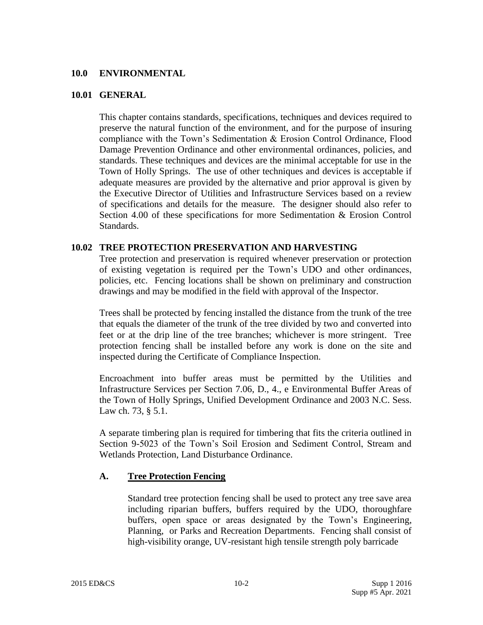#### **10.0 ENVIRONMENTAL**

#### **10.01 GENERAL**

This chapter contains standards, specifications, techniques and devices required to preserve the natural function of the environment, and for the purpose of insuring compliance with the Town's Sedimentation & Erosion Control Ordinance, Flood Damage Prevention Ordinance and other environmental ordinances, policies, and standards. These techniques and devices are the minimal acceptable for use in the Town of Holly Springs. The use of other techniques and devices is acceptable if adequate measures are provided by the alternative and prior approval is given by the Executive Director of Utilities and Infrastructure Services based on a review of specifications and details for the measure. The designer should also refer to Section 4.00 of these specifications for more Sedimentation & Erosion Control Standards.

#### **10.02 TREE PROTECTION PRESERVATION AND HARVESTING**

Tree protection and preservation is required whenever preservation or protection of existing vegetation is required per the Town's UDO and other ordinances, policies, etc. Fencing locations shall be shown on preliminary and construction drawings and may be modified in the field with approval of the Inspector.

Trees shall be protected by fencing installed the distance from the trunk of the tree that equals the diameter of the trunk of the tree divided by two and converted into feet or at the drip line of the tree branches; whichever is more stringent. Tree protection fencing shall be installed before any work is done on the site and inspected during the Certificate of Compliance Inspection.

Encroachment into buffer areas must be permitted by the Utilities and Infrastructure Services per Section 7.06, D., 4., e Environmental Buffer Areas of the Town of Holly Springs, Unified Development Ordinance and 2003 N.C. Sess. Law ch. 73, § 5.1.

A separate timbering plan is required for timbering that fits the criteria outlined in Section 9-5023 of the Town's Soil Erosion and Sediment Control, Stream and Wetlands Protection, Land Disturbance Ordinance.

#### **A. Tree Protection Fencing**

Standard tree protection fencing shall be used to protect any tree save area including riparian buffers, buffers required by the UDO, thoroughfare buffers, open space or areas designated by the Town's Engineering, Planning, or Parks and Recreation Departments. Fencing shall consist of high-visibility orange, UV-resistant high tensile strength poly barricade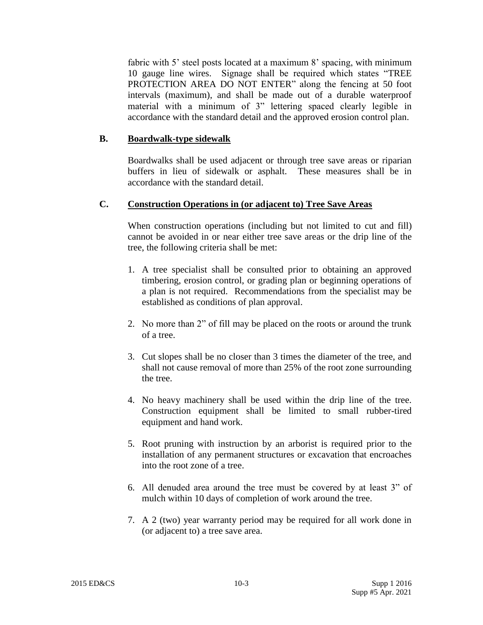fabric with 5' steel posts located at a maximum 8' spacing, with minimum 10 gauge line wires. Signage shall be required which states "TREE PROTECTION AREA DO NOT ENTER" along the fencing at 50 foot intervals (maximum), and shall be made out of a durable waterproof material with a minimum of 3" lettering spaced clearly legible in accordance with the standard detail and the approved erosion control plan.

#### **B. Boardwalk-type sidewalk**

Boardwalks shall be used adjacent or through tree save areas or riparian buffers in lieu of sidewalk or asphalt. These measures shall be in accordance with the standard detail.

### **C. Construction Operations in (or adjacent to) Tree Save Areas**

When construction operations (including but not limited to cut and fill) cannot be avoided in or near either tree save areas or the drip line of the tree, the following criteria shall be met:

- 1. A tree specialist shall be consulted prior to obtaining an approved timbering, erosion control, or grading plan or beginning operations of a plan is not required. Recommendations from the specialist may be established as conditions of plan approval.
- 2. No more than 2" of fill may be placed on the roots or around the trunk of a tree.
- 3. Cut slopes shall be no closer than 3 times the diameter of the tree, and shall not cause removal of more than 25% of the root zone surrounding the tree.
- 4. No heavy machinery shall be used within the drip line of the tree. Construction equipment shall be limited to small rubber-tired equipment and hand work.
- 5. Root pruning with instruction by an arborist is required prior to the installation of any permanent structures or excavation that encroaches into the root zone of a tree.
- 6. All denuded area around the tree must be covered by at least 3" of mulch within 10 days of completion of work around the tree.
- 7. A 2 (two) year warranty period may be required for all work done in (or adjacent to) a tree save area.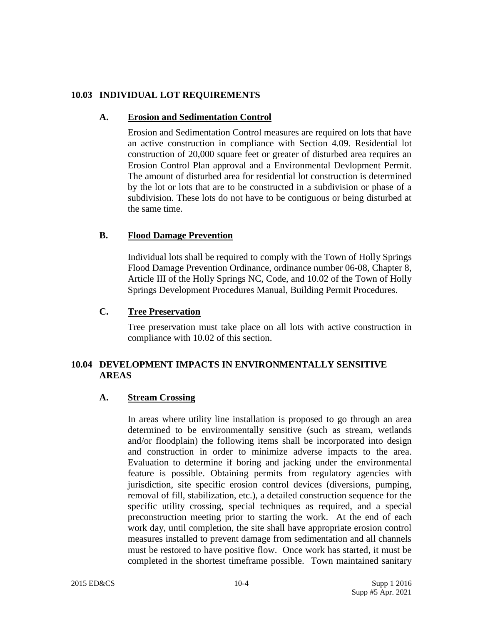### **10.03 INDIVIDUAL LOT REQUIREMENTS**

### **A. Erosion and Sedimentation Control**

Erosion and Sedimentation Control measures are required on lots that have an active construction in compliance with Section 4.09. Residential lot construction of 20,000 square feet or greater of disturbed area requires an Erosion Control Plan approval and a Environmental Devlopment Permit. The amount of disturbed area for residential lot construction is determined by the lot or lots that are to be constructed in a subdivision or phase of a subdivision. These lots do not have to be contiguous or being disturbed at the same time.

# **B. Flood Damage Prevention**

Individual lots shall be required to comply with the Town of Holly Springs Flood Damage Prevention Ordinance, ordinance number 06-08, Chapter 8, Article III of the Holly Springs NC, Code, and 10.02 of the Town of Holly Springs Development Procedures Manual, Building Permit Procedures.

### **C. Tree Preservation**

Tree preservation must take place on all lots with active construction in compliance with 10.02 of this section.

# **10.04 DEVELOPMENT IMPACTS IN ENVIRONMENTALLY SENSITIVE AREAS**

# **A. Stream Crossing**

In areas where utility line installation is proposed to go through an area determined to be environmentally sensitive (such as stream, wetlands and/or floodplain) the following items shall be incorporated into design and construction in order to minimize adverse impacts to the area. Evaluation to determine if boring and jacking under the environmental feature is possible. Obtaining permits from regulatory agencies with jurisdiction, site specific erosion control devices (diversions, pumping, removal of fill, stabilization, etc.), a detailed construction sequence for the specific utility crossing, special techniques as required, and a special preconstruction meeting prior to starting the work. At the end of each work day, until completion, the site shall have appropriate erosion control measures installed to prevent damage from sedimentation and all channels must be restored to have positive flow. Once work has started, it must be completed in the shortest timeframe possible. Town maintained sanitary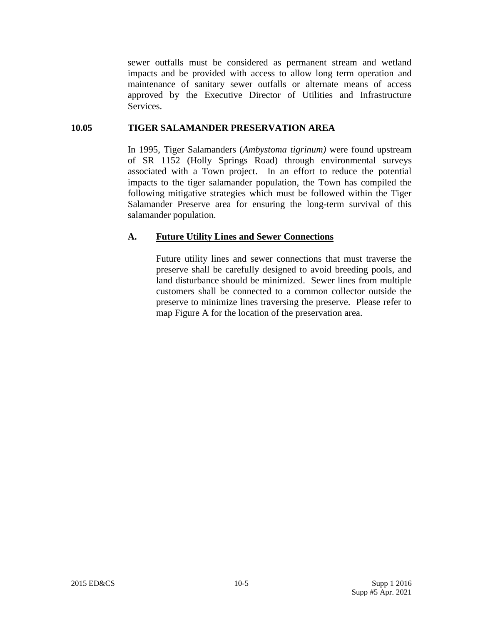sewer outfalls must be considered as permanent stream and wetland impacts and be provided with access to allow long term operation and maintenance of sanitary sewer outfalls or alternate means of access approved by the Executive Director of Utilities and Infrastructure Services.

#### **10.05 TIGER SALAMANDER PRESERVATION AREA**

In 1995, Tiger Salamanders (*Ambystoma tigrinum)* were found upstream of SR 1152 (Holly Springs Road) through environmental surveys associated with a Town project. In an effort to reduce the potential impacts to the tiger salamander population, the Town has compiled the following mitigative strategies which must be followed within the Tiger Salamander Preserve area for ensuring the long-term survival of this salamander population.

### **A. Future Utility Lines and Sewer Connections**

Future utility lines and sewer connections that must traverse the preserve shall be carefully designed to avoid breeding pools, and land disturbance should be minimized. Sewer lines from multiple customers shall be connected to a common collector outside the preserve to minimize lines traversing the preserve. Please refer to map Figure A for the location of the preservation area.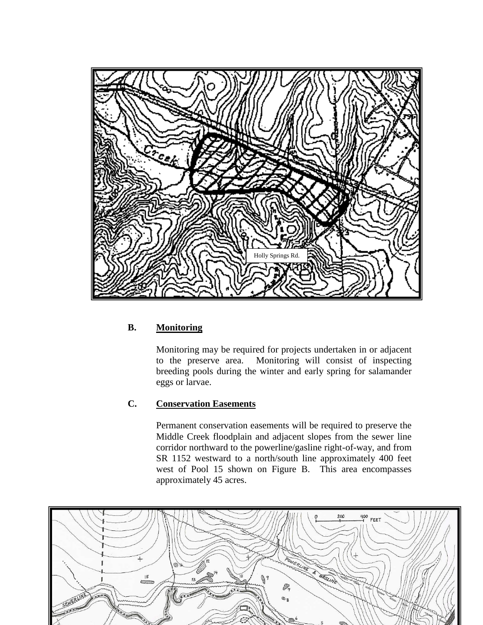

# **B. Monitoring**

Monitoring may be required for projects undertaken in or adjacent to the preserve area. Monitoring will consist of inspecting breeding pools during the winter and early spring for salamander eggs or larvae.

# **C. Conservation Easements**

Permanent conservation easements will be required to preserve the Middle Creek floodplain and adjacent slopes from the sewer line corridor northward to the powerline/gasline right-of-way, and from SR 1152 westward to a north/south line approximately 400 feet west of Pool 15 shown on Figure B. This area encompasses approximately 45 acres.

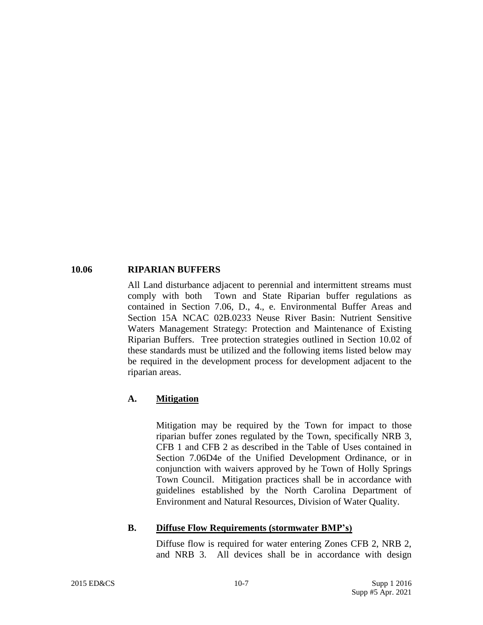#### **10.06 RIPARIAN BUFFERS**

All Land disturbance adjacent to perennial and intermittent streams must comply with both Town and State Riparian buffer regulations as contained in Section 7.06, D., 4., e. Environmental Buffer Areas and Section 15A NCAC 02B.0233 Neuse River Basin: Nutrient Sensitive Waters Management Strategy: Protection and Maintenance of Existing Riparian Buffers. Tree protection strategies outlined in Section 10.02 of these standards must be utilized and the following items listed below may be required in the development process for development adjacent to the riparian areas.

#### **A. Mitigation**

Mitigation may be required by the Town for impact to those riparian buffer zones regulated by the Town, specifically NRB 3, CFB 1 and CFB 2 as described in the Table of Uses contained in Section 7.06D4e of the Unified Development Ordinance, or in conjunction with waivers approved by he Town of Holly Springs Town Council. Mitigation practices shall be in accordance with guidelines established by the North Carolina Department of Environment and Natural Resources, Division of Water Quality.

#### **B. Diffuse Flow Requirements (stormwater BMP's)**

Diffuse flow is required for water entering Zones CFB 2, NRB 2, and NRB 3. All devices shall be in accordance with design